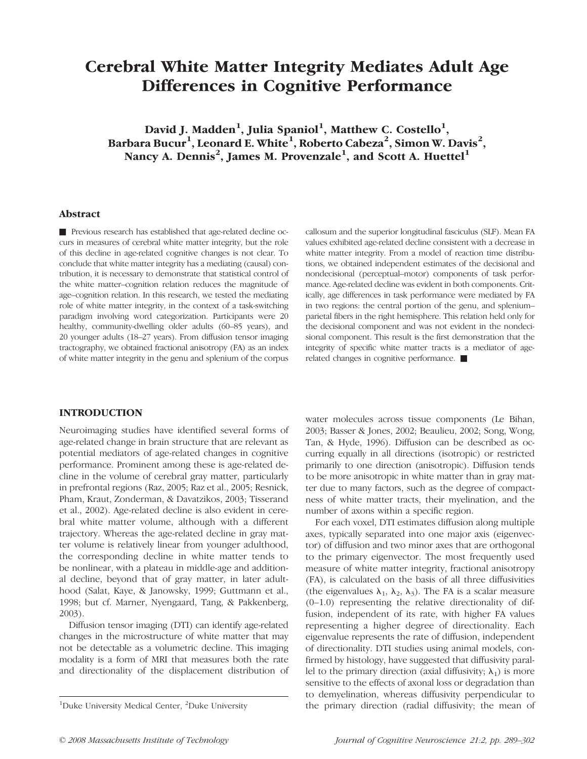# Cerebral White Matter Integrity Mediates Adult Age Differences in Cognitive Performance

David J. Madden<sup>1</sup>, Julia Spaniol<sup>1</sup>, Matthew C. Costello<sup>1</sup>, Barbara Bucur<sup>1</sup>, Leonard E. White<sup>1</sup>, Roberto Cabeza<sup>2</sup>, Simon W. Davis<sup>2</sup>, Nancy A. Dennis $^2$ , James M. Provenzale $^1$ , and Scott A. Huettel $^1$ 

#### Abstract

& Previous research has established that age-related decline occurs in measures of cerebral white matter integrity, but the role of this decline in age-related cognitive changes is not clear. To conclude that white matter integrity has a mediating (causal) contribution, it is necessary to demonstrate that statistical control of the white matter–cognition relation reduces the magnitude of age–cognition relation. In this research, we tested the mediating role of white matter integrity, in the context of a task-switching paradigm involving word categorization. Participants were 20 healthy, community-dwelling older adults (60–85 years), and 20 younger adults (18–27 years). From diffusion tensor imaging tractography, we obtained fractional anisotropy (FA) as an index of white matter integrity in the genu and splenium of the corpus callosum and the superior longitudinal fasciculus (SLF). Mean FA values exhibited age-related decline consistent with a decrease in white matter integrity. From a model of reaction time distributions, we obtained independent estimates of the decisional and nondecisional (perceptual–motor) components of task performance. Age-related decline was evident in both components. Critically, age differences in task performance were mediated by FA in two regions: the central portion of the genu, and splenium– parietal fibers in the right hemisphere. This relation held only for the decisional component and was not evident in the nondecisional component. This result is the first demonstration that the integrity of specific white matter tracts is a mediator of agerelated changes in cognitive performance.  $\blacksquare$ 

# **INTRODUCTION**

Neuroimaging studies have identified several forms of age-related change in brain structure that are relevant as potential mediators of age-related changes in cognitive performance. Prominent among these is age-related decline in the volume of cerebral gray matter, particularly in prefrontal regions (Raz, 2005; Raz et al., 2005; Resnick, Pham, Kraut, Zonderman, & Davatzikos, 2003; Tisserand et al., 2002). Age-related decline is also evident in cerebral white matter volume, although with a different trajectory. Whereas the age-related decline in gray matter volume is relatively linear from younger adulthood, the corresponding decline in white matter tends to be nonlinear, with a plateau in middle-age and additional decline, beyond that of gray matter, in later adulthood (Salat, Kaye, & Janowsky, 1999; Guttmann et al., 1998; but cf. Marner, Nyengaard, Tang, & Pakkenberg, 2003).

Diffusion tensor imaging (DTI) can identify age-related changes in the microstructure of white matter that may not be detectable as a volumetric decline. This imaging modality is a form of MRI that measures both the rate and directionality of the displacement distribution of water molecules across tissue components (Le Bihan, 2003; Basser & Jones, 2002; Beaulieu, 2002; Song, Wong, Tan, & Hyde, 1996). Diffusion can be described as occurring equally in all directions (isotropic) or restricted primarily to one direction (anisotropic). Diffusion tends to be more anisotropic in white matter than in gray matter due to many factors, such as the degree of compactness of white matter tracts, their myelination, and the number of axons within a specific region.

For each voxel, DTI estimates diffusion along multiple axes, typically separated into one major axis (eigenvector) of diffusion and two minor axes that are orthogonal to the primary eigenvector. The most frequently used measure of white matter integrity, fractional anisotropy (FA), is calculated on the basis of all three diffusivities (the eigenvalues  $\lambda_1$ ,  $\lambda_2$ ,  $\lambda_3$ ). The FA is a scalar measure (0–1.0) representing the relative directionality of diffusion, independent of its rate, with higher FA values representing a higher degree of directionality. Each eigenvalue represents the rate of diffusion, independent of directionality. DTI studies using animal models, confirmed by histology, have suggested that diffusivity parallel to the primary direction (axial diffusivity;  $\lambda_1$ ) is more sensitive to the effects of axonal loss or degradation than to demyelination, whereas diffusivity perpendicular to the primary direction (radial diffusivity; the mean of

Duke University Medical Center, <sup>2</sup>Duke University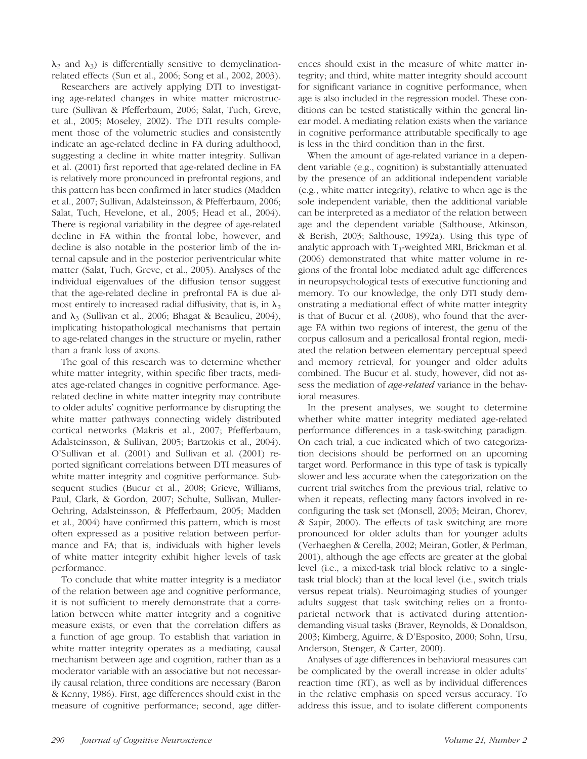$\lambda_2$  and  $\lambda_3$ ) is differentially sensitive to demyelinationrelated effects (Sun et al., 2006; Song et al., 2002, 2003).

Researchers are actively applying DTI to investigating age-related changes in white matter microstructure (Sullivan & Pfefferbaum, 2006; Salat, Tuch, Greve, et al., 2005; Moseley, 2002). The DTI results complement those of the volumetric studies and consistently indicate an age-related decline in FA during adulthood, suggesting a decline in white matter integrity. Sullivan et al. (2001) first reported that age-related decline in FA is relatively more pronounced in prefrontal regions, and this pattern has been confirmed in later studies (Madden et al., 2007; Sullivan, Adalsteinsson, & Pfefferbaum, 2006; Salat, Tuch, Hevelone, et al., 2005; Head et al., 2004). There is regional variability in the degree of age-related decline in FA within the frontal lobe, however, and decline is also notable in the posterior limb of the internal capsule and in the posterior periventricular white matter (Salat, Tuch, Greve, et al., 2005). Analyses of the individual eigenvalues of the diffusion tensor suggest that the age-related decline in prefrontal FA is due almost entirely to increased radial diffusivity, that is, in  $\lambda_2$ and  $\lambda_3$  (Sullivan et al., 2006; Bhagat & Beaulieu, 2004), implicating histopathological mechanisms that pertain to age-related changes in the structure or myelin, rather than a frank loss of axons.

The goal of this research was to determine whether white matter integrity, within specific fiber tracts, mediates age-related changes in cognitive performance. Agerelated decline in white matter integrity may contribute to older adults' cognitive performance by disrupting the white matter pathways connecting widely distributed cortical networks (Makris et al., 2007; Pfefferbaum, Adalsteinsson, & Sullivan, 2005; Bartzokis et al., 2004). O'Sullivan et al. (2001) and Sullivan et al. (2001) reported significant correlations between DTI measures of white matter integrity and cognitive performance. Subsequent studies (Bucur et al., 2008; Grieve, Williams, Paul, Clark, & Gordon, 2007; Schulte, Sullivan, Muller-Oehring, Adalsteinsson, & Pfefferbaum, 2005; Madden et al., 2004) have confirmed this pattern, which is most often expressed as a positive relation between performance and FA; that is, individuals with higher levels of white matter integrity exhibit higher levels of task performance.

To conclude that white matter integrity is a mediator of the relation between age and cognitive performance, it is not sufficient to merely demonstrate that a correlation between white matter integrity and a cognitive measure exists, or even that the correlation differs as a function of age group. To establish that variation in white matter integrity operates as a mediating, causal mechanism between age and cognition, rather than as a moderator variable with an associative but not necessarily causal relation, three conditions are necessary (Baron & Kenny, 1986). First, age differences should exist in the measure of cognitive performance; second, age differ-

ences should exist in the measure of white matter integrity; and third, white matter integrity should account for significant variance in cognitive performance, when age is also included in the regression model. These conditions can be tested statistically within the general linear model. A mediating relation exists when the variance in cognitive performance attributable specifically to age is less in the third condition than in the first.

When the amount of age-related variance in a dependent variable (e.g., cognition) is substantially attenuated by the presence of an additional independent variable (e.g., white matter integrity), relative to when age is the sole independent variable, then the additional variable can be interpreted as a mediator of the relation between age and the dependent variable (Salthouse, Atkinson, & Berish, 2003; Salthouse, 1992a). Using this type of analytic approach with  $T_1$ -weighted MRI, Brickman et al. (2006) demonstrated that white matter volume in regions of the frontal lobe mediated adult age differences in neuropsychological tests of executive functioning and memory. To our knowledge, the only DTI study demonstrating a mediational effect of white matter integrity is that of Bucur et al. (2008), who found that the average FA within two regions of interest, the genu of the corpus callosum and a pericallosal frontal region, mediated the relation between elementary perceptual speed and memory retrieval, for younger and older adults combined. The Bucur et al. study, however, did not assess the mediation of *age-related* variance in the behavioral measures.

In the present analyses, we sought to determine whether white matter integrity mediated age-related performance differences in a task-switching paradigm. On each trial, a cue indicated which of two categorization decisions should be performed on an upcoming target word. Performance in this type of task is typically slower and less accurate when the categorization on the current trial switches from the previous trial, relative to when it repeats, reflecting many factors involved in reconfiguring the task set (Monsell, 2003; Meiran, Chorev, & Sapir, 2000). The effects of task switching are more pronounced for older adults than for younger adults (Verhaeghen & Cerella, 2002; Meiran, Gotler, & Perlman, 2001), although the age effects are greater at the global level (i.e., a mixed-task trial block relative to a singletask trial block) than at the local level (i.e., switch trials versus repeat trials). Neuroimaging studies of younger adults suggest that task switching relies on a frontoparietal network that is activated during attentiondemanding visual tasks (Braver, Reynolds, & Donaldson, 2003; Kimberg, Aguirre, & D'Esposito, 2000; Sohn, Ursu, Anderson, Stenger, & Carter, 2000).

Analyses of age differences in behavioral measures can be complicated by the overall increase in older adults' reaction time (RT), as well as by individual differences in the relative emphasis on speed versus accuracy. To address this issue, and to isolate different components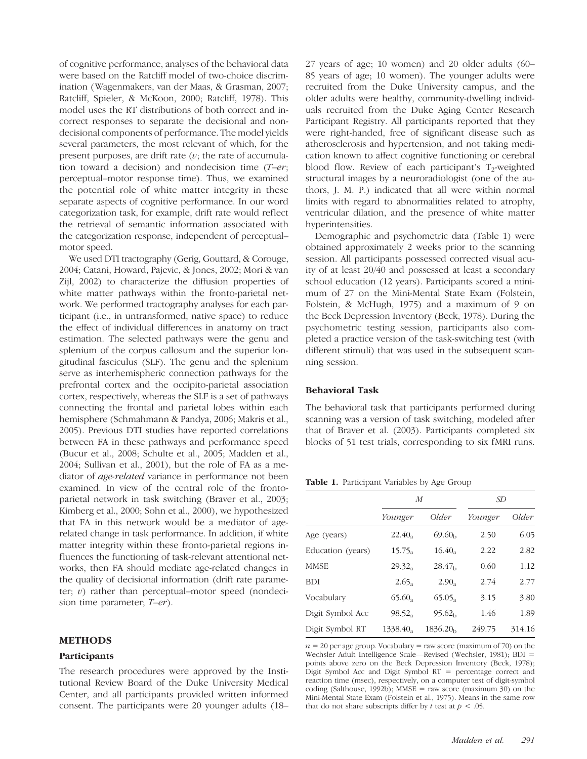of cognitive performance, analyses of the behavioral data were based on the Ratcliff model of two-choice discrimination (Wagenmakers, van der Maas, & Grasman, 2007; Ratcliff, Spieler, & McKoon, 2000; Ratcliff, 1978). This model uses the RT distributions of both correct and incorrect responses to separate the decisional and nondecisional components of performance. The model yields several parameters, the most relevant of which, for the present purposes, are drift rate  $(v)$ ; the rate of accumulation toward a decision) and nondecision time  $(T-er;$ perceptual–motor response time). Thus, we examined the potential role of white matter integrity in these separate aspects of cognitive performance. In our word categorization task, for example, drift rate would reflect the retrieval of semantic information associated with the categorization response, independent of perceptual– motor speed.

We used DTI tractography (Gerig, Gouttard, & Corouge, 2004; Catani, Howard, Pajevic, & Jones, 2002; Mori & van Zijl, 2002) to characterize the diffusion properties of white matter pathways within the fronto-parietal network. We performed tractography analyses for each participant (i.e., in untransformed, native space) to reduce the effect of individual differences in anatomy on tract estimation. The selected pathways were the genu and splenium of the corpus callosum and the superior longitudinal fasciculus (SLF). The genu and the splenium serve as interhemispheric connection pathways for the prefrontal cortex and the occipito-parietal association cortex, respectively, whereas the SLF is a set of pathways connecting the frontal and parietal lobes within each hemisphere (Schmahmann & Pandya, 2006; Makris et al., 2005). Previous DTI studies have reported correlations between FA in these pathways and performance speed (Bucur et al., 2008; Schulte et al., 2005; Madden et al., 2004; Sullivan et al., 2001), but the role of FA as a mediator of age-related variance in performance not been examined. In view of the central role of the frontoparietal network in task switching (Braver et al., 2003; Kimberg et al., 2000; Sohn et al., 2000), we hypothesized that FA in this network would be a mediator of agerelated change in task performance. In addition, if white matter integrity within these fronto-parietal regions influences the functioning of task-relevant attentional networks, then FA should mediate age-related changes in the quality of decisional information (drift rate parameter;  $v$ ) rather than perceptual–motor speed (nondecision time parameter; T–er).

#### METHODS

#### Participants

The research procedures were approved by the Institutional Review Board of the Duke University Medical Center, and all participants provided written informed consent. The participants were 20 younger adults (18–

27 years of age; 10 women) and 20 older adults (60– 85 years of age; 10 women). The younger adults were recruited from the Duke University campus, and the older adults were healthy, community-dwelling individuals recruited from the Duke Aging Center Research Participant Registry. All participants reported that they were right-handed, free of significant disease such as atherosclerosis and hypertension, and not taking medication known to affect cognitive functioning or cerebral blood flow. Review of each participant's  $T_2$ -weighted structural images by a neuroradiologist (one of the authors, J. M. P.) indicated that all were within normal limits with regard to abnormalities related to atrophy, ventricular dilation, and the presence of white matter hyperintensities.

Demographic and psychometric data (Table 1) were obtained approximately 2 weeks prior to the scanning session. All participants possessed corrected visual acuity of at least 20/40 and possessed at least a secondary school education (12 years). Participants scored a minimum of 27 on the Mini-Mental State Exam (Folstein, Folstein, & McHugh, 1975) and a maximum of 9 on the Beck Depression Inventory (Beck, 1978). During the psychometric testing session, participants also completed a practice version of the task-switching test (with different stimuli) that was used in the subsequent scanning session.

## Behavioral Task

The behavioral task that participants performed during scanning was a version of task switching, modeled after that of Braver et al. (2003). Participants completed six blocks of 51 test trials, corresponding to six fMRI runs.

**Table 1.** Participant Variables by Age Group

|                   | $\overline{M}$    |                      | <i>SD</i> |        |  |
|-------------------|-------------------|----------------------|-----------|--------|--|
|                   | Younger           | Older                | Younger   | Older  |  |
| Age (years)       | $22.40_a$         | 69.60 <sub>b</sub>   | 2.50      | 6.05   |  |
| Education (years) | $15.75_a$         | 16.40                | 2.22      | 2.82   |  |
| <b>MMSE</b>       | $29.32_a$         | 28.47 <sub>b</sub>   | 0.60      | 1.12   |  |
| <b>BDI</b>        | 2.65 <sub>a</sub> | 2.90 <sub>a</sub>    | 2.74      | 2.77   |  |
| Vocabulary        | $65.60_a$         | 65.05                | 3.15      | 3.80   |  |
| Digit Symbol Acc  | $98.52_a$         | 95.62 <sub>b</sub>   | 1.46      | 1.89   |  |
| Digit Symbol RT   | 1338.40.          | 1836.20 <sub>b</sub> | 249.75    | 314.16 |  |

 $n = 20$  per age group. Vocabulary = raw score (maximum of 70) on the Wechsler Adult Intelligence Scale—Revised (Wechsler, 1981); BDI = points above zero on the Beck Depression Inventory (Beck, 1978); Digit Symbol Acc and Digit Symbol RT = percentage correct and reaction time (msec), respectively, on a computer test of digit-symbol coding (Salthouse, 1992b); MMSE = raw score (maximum 30) on the Mini-Mental State Exam (Folstein et al., 1975). Means in the same row that do not share subscripts differ by t test at  $p < .05$ .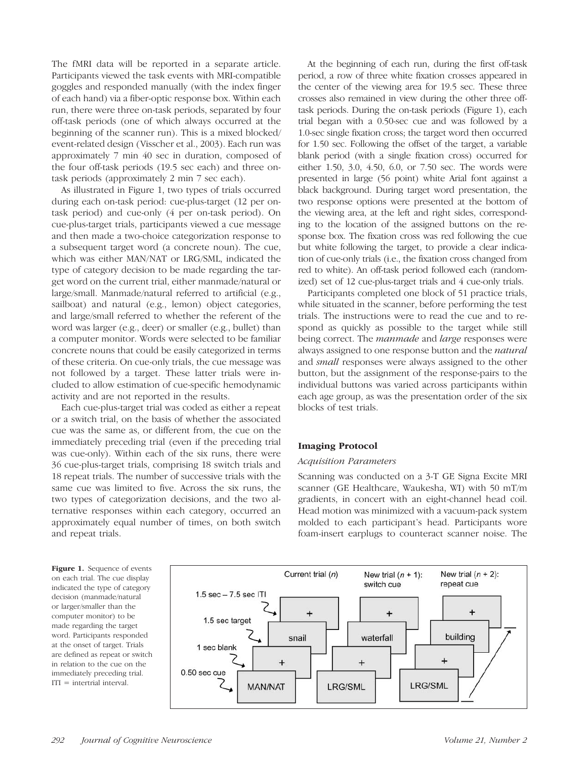The fMRI data will be reported in a separate article. Participants viewed the task events with MRI-compatible goggles and responded manually (with the index finger of each hand) via a fiber-optic response box. Within each run, there were three on-task periods, separated by four off-task periods (one of which always occurred at the beginning of the scanner run). This is a mixed blocked/ event-related design (Visscher et al., 2003). Each run was approximately 7 min 40 sec in duration, composed of the four off-task periods (19.5 sec each) and three ontask periods (approximately 2 min 7 sec each).

As illustrated in Figure 1, two types of trials occurred during each on-task period: cue-plus-target (12 per ontask period) and cue-only (4 per on-task period). On cue-plus-target trials, participants viewed a cue message and then made a two-choice categorization response to a subsequent target word (a concrete noun). The cue, which was either MAN/NAT or LRG/SML, indicated the type of category decision to be made regarding the target word on the current trial, either manmade/natural or large/small. Manmade/natural referred to artificial (e.g., sailboat) and natural (e.g., lemon) object categories, and large/small referred to whether the referent of the word was larger (e.g., deer) or smaller (e.g., bullet) than a computer monitor. Words were selected to be familiar concrete nouns that could be easily categorized in terms of these criteria. On cue-only trials, the cue message was not followed by a target. These latter trials were included to allow estimation of cue-specific hemodynamic activity and are not reported in the results.

Each cue-plus-target trial was coded as either a repeat or a switch trial, on the basis of whether the associated cue was the same as, or different from, the cue on the immediately preceding trial (even if the preceding trial was cue-only). Within each of the six runs, there were 36 cue-plus-target trials, comprising 18 switch trials and 18 repeat trials. The number of successive trials with the same cue was limited to five. Across the six runs, the two types of categorization decisions, and the two alternative responses within each category, occurred an approximately equal number of times, on both switch and repeat trials.

At the beginning of each run, during the first off-task period, a row of three white fixation crosses appeared in the center of the viewing area for 19.5 sec. These three crosses also remained in view during the other three offtask periods. During the on-task periods (Figure 1), each trial began with a 0.50-sec cue and was followed by a 1.0-sec single fixation cross; the target word then occurred for 1.50 sec. Following the offset of the target, a variable blank period (with a single fixation cross) occurred for either 1.50, 3.0, 4.50, 6.0, or 7.50 sec. The words were presented in large (56 point) white Arial font against a black background. During target word presentation, the two response options were presented at the bottom of the viewing area, at the left and right sides, corresponding to the location of the assigned buttons on the response box. The fixation cross was red following the cue but white following the target, to provide a clear indication of cue-only trials (i.e., the fixation cross changed from red to white). An off-task period followed each (randomized) set of 12 cue-plus-target trials and 4 cue-only trials.

Participants completed one block of 51 practice trials, while situated in the scanner, before performing the test trials. The instructions were to read the cue and to respond as quickly as possible to the target while still being correct. The *manmade* and *large* responses were always assigned to one response button and the *natural* and small responses were always assigned to the other button, but the assignment of the response-pairs to the individual buttons was varied across participants within each age group, as was the presentation order of the six blocks of test trials.

# Imaging Protocol

#### Acquisition Parameters

Scanning was conducted on a 3-T GE Signa Excite MRI scanner (GE Healthcare, Waukesha, WI) with 50 mT/m gradients, in concert with an eight-channel head coil. Head motion was minimized with a vacuum-pack system molded to each participant's head. Participants wore foam-insert earplugs to counteract scanner noise. The

Figure 1. Sequence of events on each trial. The cue display indicated the type of category decision (manmade/natural or larger/smaller than the computer monitor) to be made regarding the target word. Participants responded at the onset of target. Trials are defined as repeat or switch in relation to the cue on the immediately preceding trial.  $ITI =$  intertrial interval.

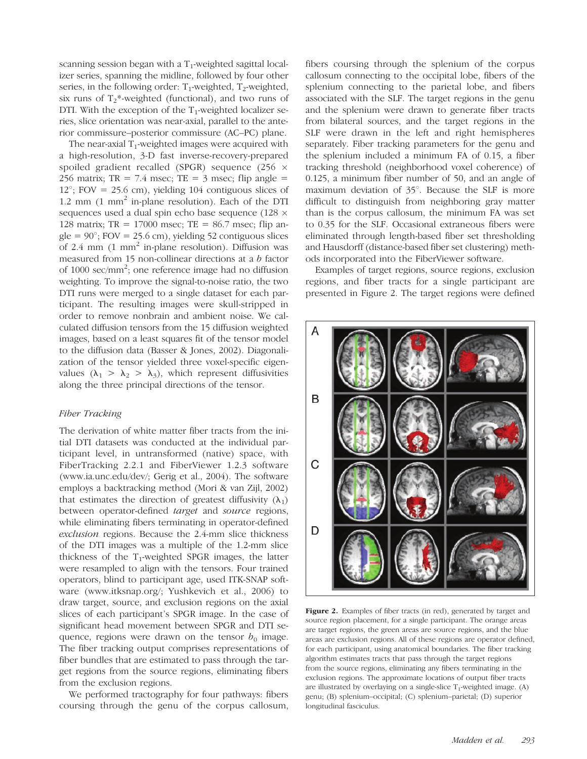scanning session began with a  $T_1$ -weighted sagittal localizer series, spanning the midline, followed by four other series, in the following order:  $T_1$ -weighted,  $T_2$ -weighted, six runs of  $T_2^*$ -weighted (functional), and two runs of DTI. With the exception of the  $T_1$ -weighted localizer series, slice orientation was near-axial, parallel to the anterior commissure–posterior commissure (AC–PC) plane.

The near-axial  $T_1$ -weighted images were acquired with a high-resolution, 3-D fast inverse-recovery-prepared spoiled gradient recalled (SPGR) sequence (256  $\times$ 256 matrix;  $TR = 7.4$  msec;  $TE = 3$  msec; flip angle =  $12^{\circ}$ ; FOV = 25.6 cm), yielding 104 contiguous slices of 1.2 mm  $(1 \text{ mm}^2)$  in-plane resolution). Each of the DTI sequences used a dual spin echo base sequence (128  $\times$ 128 matrix;  $TR = 17000$  msec;  $TE = 86.7$  msec; flip angle =  $90^\circ$ ; FOV = 25.6 cm), yielding 52 contiguous slices of 2.4 mm  $(1 \text{ mm}^2)$  in-plane resolution). Diffusion was measured from 15 non-collinear directions at a b factor of 1000 sec/mm<sup>2</sup>; one reference image had no diffusion weighting. To improve the signal-to-noise ratio, the two DTI runs were merged to a single dataset for each participant. The resulting images were skull-stripped in order to remove nonbrain and ambient noise. We calculated diffusion tensors from the 15 diffusion weighted images, based on a least squares fit of the tensor model to the diffusion data (Basser & Jones, 2002). Diagonalization of the tensor yielded three voxel-specific eigenvalues ( $\lambda_1 > \lambda_2 > \lambda_3$ ), which represent diffusivities along the three principal directions of the tensor.

## Fiber Tracking

The derivation of white matter fiber tracts from the initial DTI datasets was conducted at the individual participant level, in untransformed (native) space, with FiberTracking 2.2.1 and FiberViewer 1.2.3 software (www.ia.unc.edu/dev/; Gerig et al., 2004). The software employs a backtracking method (Mori & van Zijl, 2002) that estimates the direction of greatest diffusivity  $(\lambda_1)$ between operator-defined target and source regions, while eliminating fibers terminating in operator-defined exclusion regions. Because the 2.4-mm slice thickness of the DTI images was a multiple of the 1.2-mm slice thickness of the  $T_1$ -weighted SPGR images, the latter were resampled to align with the tensors. Four trained operators, blind to participant age, used ITK-SNAP software (www.itksnap.org/; Yushkevich et al., 2006) to draw target, source, and exclusion regions on the axial slices of each participant's SPGR image. In the case of significant head movement between SPGR and DTI sequence, regions were drawn on the tensor  $b_0$  image. The fiber tracking output comprises representations of fiber bundles that are estimated to pass through the target regions from the source regions, eliminating fibers from the exclusion regions.

We performed tractography for four pathways: fibers coursing through the genu of the corpus callosum,

fibers coursing through the splenium of the corpus callosum connecting to the occipital lobe, fibers of the splenium connecting to the parietal lobe, and fibers associated with the SLF. The target regions in the genu and the splenium were drawn to generate fiber tracts from bilateral sources, and the target regions in the SLF were drawn in the left and right hemispheres separately. Fiber tracking parameters for the genu and the splenium included a minimum FA of 0.15, a fiber tracking threshold (neighborhood voxel coherence) of 0.125, a minimum fiber number of 50, and an angle of maximum deviation of  $35^\circ$ . Because the SLF is more difficult to distinguish from neighboring gray matter than is the corpus callosum, the minimum FA was set to 0.35 for the SLF. Occasional extraneous fibers were eliminated through length-based fiber set thresholding and Hausdorff (distance-based fiber set clustering) methods incorporated into the FiberViewer software.

Examples of target regions, source regions, exclusion regions, and fiber tracts for a single participant are presented in Figure 2. The target regions were defined



Figure 2. Examples of fiber tracts (in red), generated by target and source region placement, for a single participant. The orange areas are target regions, the green areas are source regions, and the blue areas are exclusion regions. All of these regions are operator defined, for each participant, using anatomical boundaries. The fiber tracking algorithm estimates tracts that pass through the target regions from the source regions, eliminating any fibers terminating in the exclusion regions. The approximate locations of output fiber tracts are illustrated by overlaying on a single-slice  $T_1$ -weighted image. (A) genu; (B) splenium–occipital; (C) splenium–parietal; (D) superior longitudinal fasciculus.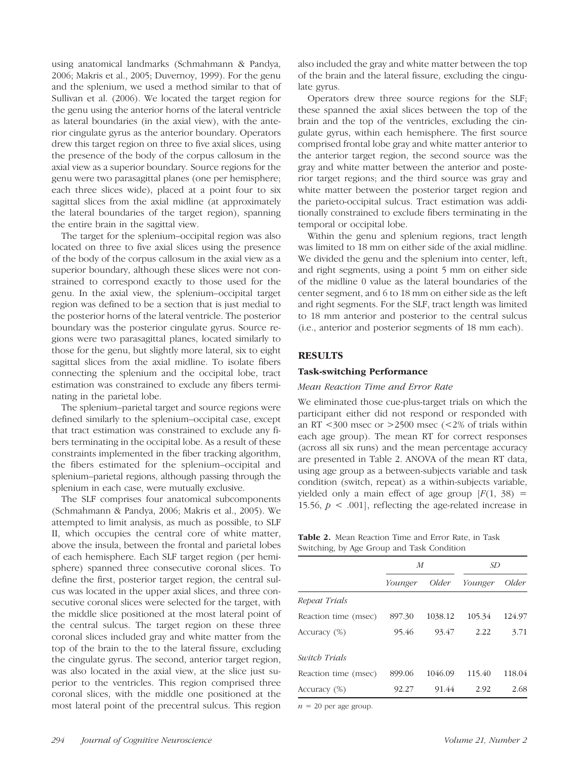using anatomical landmarks (Schmahmann & Pandya, 2006; Makris et al., 2005; Duvernoy, 1999). For the genu and the splenium, we used a method similar to that of Sullivan et al. (2006). We located the target region for the genu using the anterior horns of the lateral ventricle as lateral boundaries (in the axial view), with the anterior cingulate gyrus as the anterior boundary. Operators drew this target region on three to five axial slices, using the presence of the body of the corpus callosum in the axial view as a superior boundary. Source regions for the genu were two parasagittal planes (one per hemisphere; each three slices wide), placed at a point four to six sagittal slices from the axial midline (at approximately the lateral boundaries of the target region), spanning the entire brain in the sagittal view.

The target for the splenium–occipital region was also located on three to five axial slices using the presence of the body of the corpus callosum in the axial view as a superior boundary, although these slices were not constrained to correspond exactly to those used for the genu. In the axial view, the splenium–occipital target region was defined to be a section that is just medial to the posterior horns of the lateral ventricle. The posterior boundary was the posterior cingulate gyrus. Source regions were two parasagittal planes, located similarly to those for the genu, but slightly more lateral, six to eight sagittal slices from the axial midline. To isolate fibers connecting the splenium and the occipital lobe, tract estimation was constrained to exclude any fibers terminating in the parietal lobe.

The splenium–parietal target and source regions were defined similarly to the splenium–occipital case, except that tract estimation was constrained to exclude any fibers terminating in the occipital lobe. As a result of these constraints implemented in the fiber tracking algorithm, the fibers estimated for the splenium–occipital and splenium–parietal regions, although passing through the splenium in each case, were mutually exclusive.

The SLF comprises four anatomical subcomponents (Schmahmann & Pandya, 2006; Makris et al., 2005). We attempted to limit analysis, as much as possible, to SLF II, which occupies the central core of white matter, above the insula, between the frontal and parietal lobes of each hemisphere. Each SLF target region (per hemisphere) spanned three consecutive coronal slices. To define the first, posterior target region, the central sulcus was located in the upper axial slices, and three consecutive coronal slices were selected for the target, with the middle slice positioned at the most lateral point of the central sulcus. The target region on these three coronal slices included gray and white matter from the top of the brain to the to the lateral fissure, excluding the cingulate gyrus. The second, anterior target region, was also located in the axial view, at the slice just superior to the ventricles. This region comprised three coronal slices, with the middle one positioned at the most lateral point of the precentral sulcus. This region also included the gray and white matter between the top of the brain and the lateral fissure, excluding the cingulate gyrus.

Operators drew three source regions for the SLF; these spanned the axial slices between the top of the brain and the top of the ventricles, excluding the cingulate gyrus, within each hemisphere. The first source comprised frontal lobe gray and white matter anterior to the anterior target region, the second source was the gray and white matter between the anterior and posterior target regions; and the third source was gray and white matter between the posterior target region and the parieto-occipital sulcus. Tract estimation was additionally constrained to exclude fibers terminating in the temporal or occipital lobe.

Within the genu and splenium regions, tract length was limited to 18 mm on either side of the axial midline. We divided the genu and the splenium into center, left, and right segments, using a point 5 mm on either side of the midline 0 value as the lateral boundaries of the center segment, and 6 to 18 mm on either side as the left and right segments. For the SLF, tract length was limited to 18 mm anterior and posterior to the central sulcus (i.e., anterior and posterior segments of 18 mm each).

## RESULTS

### Task-switching Performance

#### Mean Reaction Time and Error Rate

We eliminated those cue-plus-target trials on which the participant either did not respond or responded with an RT  $<300$  msec or  $>2500$  msec  $<2\%$  of trials within each age group). The mean RT for correct responses (across all six runs) and the mean percentage accuracy are presented in Table 2. ANOVA of the mean RT data, using age group as a between-subjects variable and task condition (switch, repeat) as a within-subjects variable, yielded only a main effect of age group  $[F(1, 38) =$ 15.56,  $p < .001$ ], reflecting the age-related increase in

| <b>Table 2.</b> Mean Reaction Time and Error Rate, in Task |  |  |  |
|------------------------------------------------------------|--|--|--|
| Switching, by Age Group and Task Condition                 |  |  |  |

|                      | $\boldsymbol{M}$ |         | <i>SD</i> |        |  |
|----------------------|------------------|---------|-----------|--------|--|
|                      | Younger          | Older   | Younger   | Older  |  |
| Repeat Trials        |                  |         |           |        |  |
| Reaction time (msec) | 897.30           | 1038.12 | 105.34    | 124.97 |  |
| Accuracy $(\%)$      | 95.46            | 93.47   | 2.22      | 3.71   |  |
| Switch Trials        |                  |         |           |        |  |
| Reaction time (msec) | 899.06           | 1046.09 | 115.40    | 118.04 |  |
| Accuracy $(\%)$      | 92.27            | 91.44   | 2.92      | 2.68   |  |

 $n = 20$  per age group.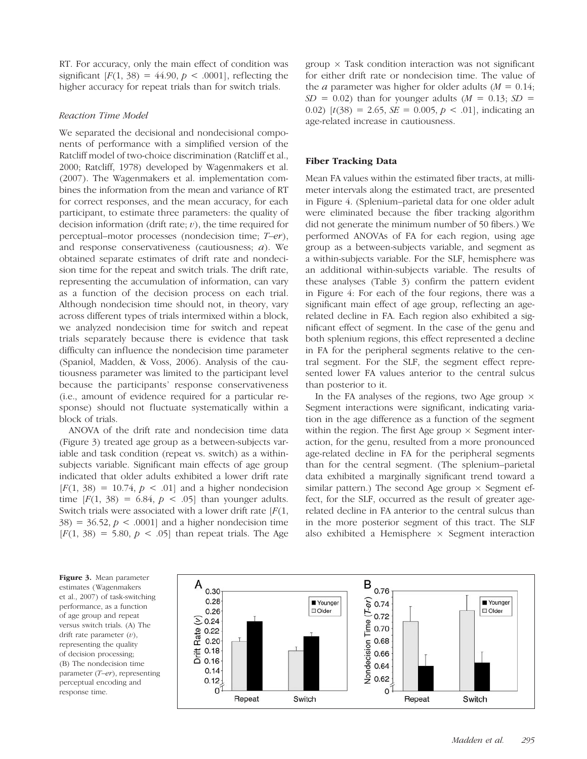RT. For accuracy, only the main effect of condition was significant  $[F(1, 38) = 44.90, p < .0001]$ , reflecting the higher accuracy for repeat trials than for switch trials.

## Reaction Time Model

We separated the decisional and nondecisional components of performance with a simplified version of the Ratcliff model of two-choice discrimination (Ratcliff et al., 2000; Ratcliff, 1978) developed by Wagenmakers et al. (2007). The Wagenmakers et al. implementation combines the information from the mean and variance of RT for correct responses, and the mean accuracy, for each participant, to estimate three parameters: the quality of decision information (drift rate;  $v$ ), the time required for perceptual–motor processes (nondecision time; T–er), and response conservativeness (cautiousness;  $a$ ). We obtained separate estimates of drift rate and nondecision time for the repeat and switch trials. The drift rate, representing the accumulation of information, can vary as a function of the decision process on each trial. Although nondecision time should not, in theory, vary across different types of trials intermixed within a block, we analyzed nondecision time for switch and repeat trials separately because there is evidence that task difficulty can influence the nondecision time parameter (Spaniol, Madden, & Voss, 2006). Analysis of the cautiousness parameter was limited to the participant level because the participants' response conservativeness (i.e., amount of evidence required for a particular response) should not fluctuate systematically within a block of trials.

ANOVA of the drift rate and nondecision time data (Figure 3) treated age group as a between-subjects variable and task condition (repeat vs. switch) as a withinsubjects variable. Significant main effects of age group indicated that older adults exhibited a lower drift rate  $[F(1, 38) = 10.74, p < .01]$  and a higher nondecision time  $[F(1, 38) = 6.84, p < .05]$  than younger adults. Switch trials were associated with a lower drift rate  $[F(1, \cdot)]$  $38$ ) = 36.52,  $p < .0001$ ] and a higher nondecision time  $[F(1, 38) = 5.80, p < .05]$  than repeat trials. The Age  $group \times Task$  condition interaction was not significant for either drift rate or nondecision time. The value of the *a* parameter was higher for older adults  $(M = 0.14)$ ;  $SD = 0.02$ ) than for younger adults ( $M = 0.13$ ;  $SD =$ 0.02)  $[t(38) = 2.65, SE = 0.005, p < .01]$ , indicating an age-related increase in cautiousness.

### Fiber Tracking Data

Mean FA values within the estimated fiber tracts, at millimeter intervals along the estimated tract, are presented in Figure 4. (Splenium–parietal data for one older adult were eliminated because the fiber tracking algorithm did not generate the minimum number of 50 fibers.) We performed ANOVAs of FA for each region, using age group as a between-subjects variable, and segment as a within-subjects variable. For the SLF, hemisphere was an additional within-subjects variable. The results of these analyses (Table 3) confirm the pattern evident in Figure 4: For each of the four regions, there was a significant main effect of age group, reflecting an agerelated decline in FA. Each region also exhibited a significant effect of segment. In the case of the genu and both splenium regions, this effect represented a decline in FA for the peripheral segments relative to the central segment. For the SLF, the segment effect represented lower FA values anterior to the central sulcus than posterior to it.

In the FA analyses of the regions, two Age group  $\times$ Segment interactions were significant, indicating variation in the age difference as a function of the segment within the region. The first Age group  $\times$  Segment interaction, for the genu, resulted from a more pronounced age-related decline in FA for the peripheral segments than for the central segment. (The splenium–parietal data exhibited a marginally significant trend toward a similar pattern.) The second Age group  $\times$  Segment effect, for the SLF, occurred as the result of greater agerelated decline in FA anterior to the central sulcus than in the more posterior segment of this tract. The SLF also exhibited a Hemisphere  $\times$  Segment interaction

Figure 3. Mean parameter estimates (Wagenmakers et al., 2007) of task-switching performance, as a function of age group and repeat versus switch trials. (A) The drift rate parameter  $(v)$ , representing the quality of decision processing; (B) The nondecision time parameter  $(T-er)$ , representing perceptual encoding and response time.

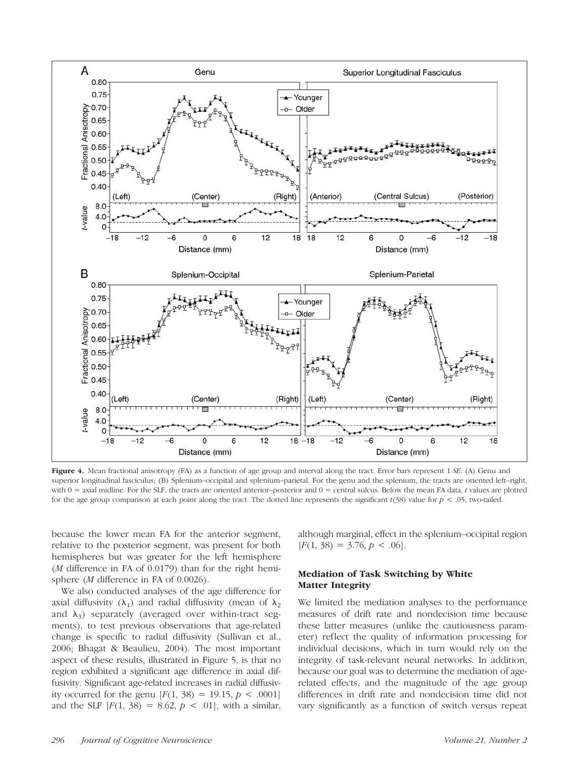

Figure 4. Mean fractional anisotropy (FA) as a function of age group and interval along the tract. Error bars represent 1 SE. (A) Genu and superior longitudinal fasciculus; (B) Splenium–occipital and splenium–parietal. For the genu and the splenium, the tracts are oriented left–right, with  $0 =$  axial midline. For the SLF, the tracts are oriented anterior-posterior and  $0 =$  central sulcus. Below the mean FA data, t values are plotted for the age group comparison at each point along the tract. The dotted line represents the significant  $t(38)$  value for  $p < .05$ , two-tailed.

because the lower mean FA for the anterior segment, relative to the posterior segment, was present for both hemispheres but was greater for the left hemisphere (M difference in FA of 0.0179) than for the right hemisphere (*M* difference in FA of 0.0026).

We also conducted analyses of the age difference for axial diffusivity  $(\lambda_1)$  and radial diffusivity (mean of  $\lambda_2$ and  $\lambda_3$ ) separately (averaged over within-tract segments), to test previous observations that age-related change is specific to radial diffusivity (Sullivan et al., 2006; Bhagat & Beaulieu, 2004). The most important aspect of these results, illustrated in Figure 5, is that no region exhibited a significant age difference in axial diffusivity. Significant age-related increases in radial diffusivity occurred for the genu  $[F(1, 38) = 19.15, p < .0001]$ and the SLF  $[F(1, 38) = 8.62, p < .01]$ , with a similar,

although marginal, effect in the splenium–occipital region  $[F(1, 38) = 3.76, p < .06].$ 

# Mediation of Task Switching by White Matter Integrity

We limited the mediation analyses to the performance measures of drift rate and nondecision time because these latter measures (unlike the cautiousness parameter) reflect the quality of information processing for individual decisions, which in turn would rely on the integrity of task-relevant neural networks. In addition, because our goal was to determine the mediation of agerelated effects, and the magnitude of the age group differences in drift rate and nondecision time did not vary significantly as a function of switch versus repeat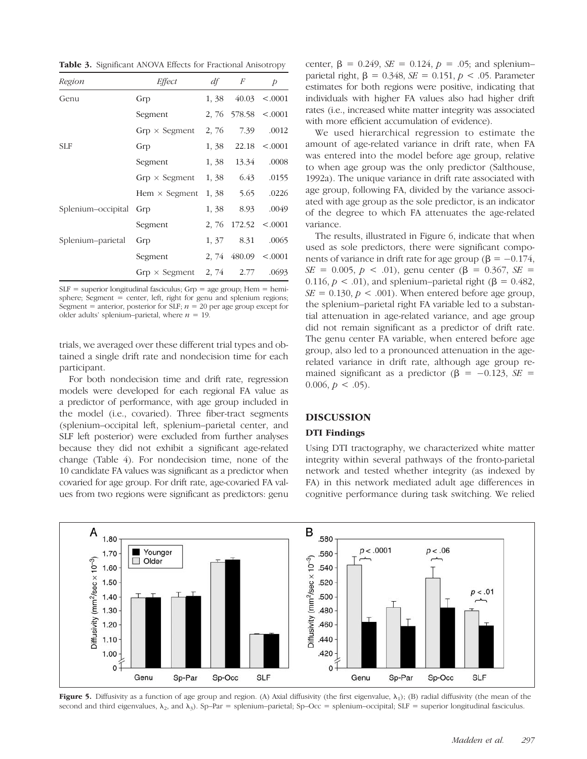Table 3. Significant ANOVA Effects for Fractional Anisotropy

| Region                 | Effect                          |       | $df \t F$                 | $\overline{p}$     |  |
|------------------------|---------------------------------|-------|---------------------------|--------------------|--|
| Genu                   | Grp                             | 1, 38 |                           | $40.03 \le 0.0001$ |  |
|                        | Segment                         |       | 2, 76 $578.58 < 0.001$    |                    |  |
|                        | $Grp \times Segment$            |       | 2, 76 7.39                | .0012              |  |
| <b>SLF</b>             | Grp                             |       | $1,38$ 22.18 < 0001       |                    |  |
|                        | Segment                         | 1, 38 | 13.34                     | .0008              |  |
|                        | $Grp \times Segment$            |       | $1,38$ $6.43$             | .0155              |  |
|                        | Hem $\times$ Segment            |       | 1, 38 5.65 .0226          |                    |  |
| Splenium-occipital Grp |                                 | 1, 38 | 8.93                      | .0049              |  |
|                        | Segment                         |       | 2, 76 $172.52 \le 0.0001$ |                    |  |
| Splenium–parietal      | Grp                             |       | 1, 37 8.31                | .0065              |  |
|                        | Segment                         |       | $2,74$ 480.09 <.0001      |                    |  |
|                        | $Grp \times Segment$ 2, 74 2.77 |       |                           | .0693              |  |

 $SLF$  = superior longitudinal fasciculus;  $Grp$  = age group; Hem = hemisphere; Segment = center, left, right for genu and splenium regions; Segment = anterior, posterior for SLF;  $n = 20$  per age group except for older adults' splenium–parietal, where  $n = 19$ .

trials, we averaged over these different trial types and obtained a single drift rate and nondecision time for each participant.

For both nondecision time and drift rate, regression models were developed for each regional FA value as a predictor of performance, with age group included in the model (i.e., covaried). Three fiber-tract segments (splenium–occipital left, splenium–parietal center, and SLF left posterior) were excluded from further analyses because they did not exhibit a significant age-related change (Table 4). For nondecision time, none of the 10 candidate FA values was significant as a predictor when covaried for age group. For drift rate, age-covaried FA values from two regions were significant as predictors: genu center,  $\beta = 0.249$ ,  $SE = 0.124$ ,  $p = .05$ ; and spleniumparietal right,  $\beta = 0.348$ ,  $SE = 0.151$ ,  $p < .05$ . Parameter estimates for both regions were positive, indicating that individuals with higher FA values also had higher drift rates (i.e., increased white matter integrity was associated with more efficient accumulation of evidence).

We used hierarchical regression to estimate the amount of age-related variance in drift rate, when FA was entered into the model before age group, relative to when age group was the only predictor (Salthouse, 1992a). The unique variance in drift rate associated with age group, following FA, divided by the variance associated with age group as the sole predictor, is an indicator of the degree to which FA attenuates the age-related variance.

The results, illustrated in Figure 6, indicate that when used as sole predictors, there were significant components of variance in drift rate for age group ( $\beta = -0.174$ ,  $SE = 0.005$ ,  $p < .01$ ), genu center ( $\beta = 0.367$ ,  $SE =$ 0.116,  $p < .01$ ), and splenium–parietal right ( $\beta = 0.482$ ,  $SE = 0.130$ ,  $p < .001$ ). When entered before age group, the splenium–parietal right FA variable led to a substantial attenuation in age-related variance, and age group did not remain significant as a predictor of drift rate. The genu center FA variable, when entered before age group, also led to a pronounced attenuation in the agerelated variance in drift rate, although age group remained significant as a predictor ( $\beta = -0.123$ ,  $SE =$ 0.006,  $p < .05$ ).

#### DISCUSSION

### DTI Findings

Using DTI tractography, we characterized white matter integrity within several pathways of the fronto-parietal network and tested whether integrity (as indexed by FA) in this network mediated adult age differences in cognitive performance during task switching. We relied



Figure 5. Diffusivity as a function of age group and region. (A) Axial diffusivity (the first eigenvalue,  $\lambda_1$ ); (B) radial diffusivity (the mean of the second and third eigenvalues,  $\lambda_2$ , and  $\lambda_3$ ). Sp–Par = splenium–parietal; Sp–Occ = splenium–occipital; SLF = superior longitudinal fasciculus.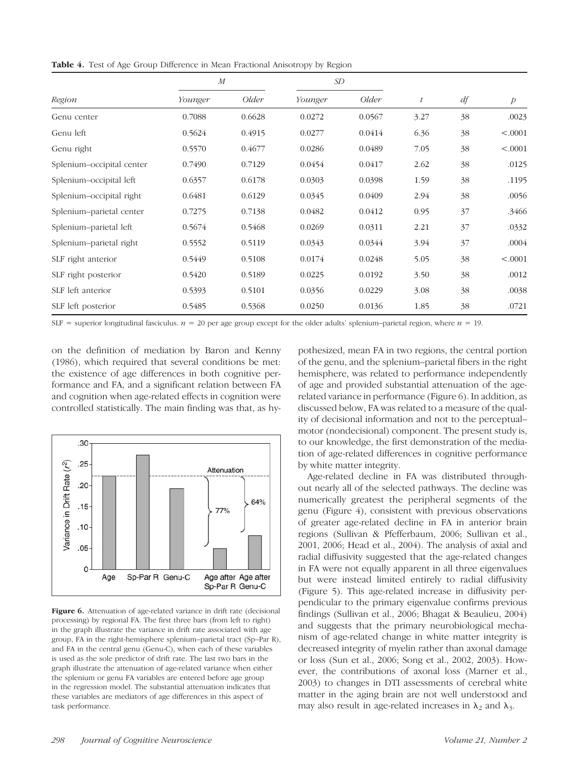**Table 4.** Test of Age Group Difference in Mean Fractional Anisotropy by Region

|                           | $\boldsymbol{M}$ |        | SD      |        |                  |    |                |
|---------------------------|------------------|--------|---------|--------|------------------|----|----------------|
| Region                    | Younger          | Older  | Younger | Older  | $\boldsymbol{t}$ | df | $\overline{p}$ |
| Genu center               | 0.7088           | 0.6628 | 0.0272  | 0.0567 | 3.27             | 38 | .0023          |
| Genu left                 | 0.5624           | 0.4915 | 0.0277  | 0.0414 | 6.36             | 38 | < .0001        |
| Genu right                | 0.5570           | 0.4677 | 0.0286  | 0.0489 | 7.05             | 38 | < .0001        |
| Splenium-occipital center | 0.7490           | 0.7129 | 0.0454  | 0.0417 | 2.62             | 38 | .0125          |
| Splenium-occipital left   | 0.6357           | 0.6178 | 0.0303  | 0.0398 | 1.59             | 38 | .1195          |
| Splenium-occipital right  | 0.6481           | 0.6129 | 0.0345  | 0.0409 | 2.94             | 38 | .0056          |
| Splenium-parietal center  | 0.7275           | 0.7138 | 0.0482  | 0.0412 | 0.95             | 37 | .3466          |
| Splenium-parietal left    | 0.5674           | 0.5468 | 0.0269  | 0.0311 | 2.21             | 37 | .0332          |
| Splenium-parietal right   | 0.5552           | 0.5119 | 0.0343  | 0.0344 | 3.94             | 37 | .0004          |
| SLF right anterior        | 0.5449           | 0.5108 | 0.0174  | 0.0248 | 5.05             | 38 | < .0001        |
| SLF right posterior       | 0.5420           | 0.5189 | 0.0225  | 0.0192 | 3.50             | 38 | .0012          |
| SLF left anterior         | 0.5393           | 0.5101 | 0.0356  | 0.0229 | 3.08             | 38 | .0038          |
| SLF left posterior        | 0.5485           | 0.5368 | 0.0250  | 0.0136 | 1.85             | 38 | .0721          |

SLF = superior longitudinal fasciculus.  $n = 20$  per age group except for the older adults' splenium–parietal region, where  $n = 19$ .

on the definition of mediation by Baron and Kenny (1986), which required that several conditions be met: the existence of age differences in both cognitive performance and FA, and a significant relation between FA and cognition when age-related effects in cognition were controlled statistically. The main finding was that, as hy-



Figure 6. Attenuation of age-related variance in drift rate (decisional processing) by regional FA. The first three bars (from left to right) in the graph illustrate the variance in drift rate associated with age group, FA in the right-hemisphere splenium–parietal tract (Sp–Par R), and FA in the central genu (Genu-C), when each of these variables is used as the sole predictor of drift rate. The last two bars in the graph illustrate the attenuation of age-related variance when either the splenium or genu FA variables are entered before age group in the regression model. The substantial attenuation indicates that these variables are mediators of age differences in this aspect of task performance.

pothesized, mean FA in two regions, the central portion of the genu, and the splenium–parietal fibers in the right hemisphere, was related to performance independently of age and provided substantial attenuation of the agerelated variance in performance (Figure 6). In addition, as discussed below, FA was related to a measure of the quality of decisional information and not to the perceptual– motor (nondecisional) component. The present study is, to our knowledge, the first demonstration of the mediation of age-related differences in cognitive performance by white matter integrity.

Age-related decline in FA was distributed throughout nearly all of the selected pathways. The decline was numerically greatest the peripheral segments of the genu (Figure 4), consistent with previous observations of greater age-related decline in FA in anterior brain regions (Sullivan & Pfefferbaum, 2006; Sullivan et al., 2001, 2006; Head et al., 2004). The analysis of axial and radial diffusivity suggested that the age-related changes in FA were not equally apparent in all three eigenvalues but were instead limited entirely to radial diffusivity (Figure 5). This age-related increase in diffusivity perpendicular to the primary eigenvalue confirms previous findings (Sullivan et al., 2006; Bhagat & Beaulieu, 2004) and suggests that the primary neurobiological mechanism of age-related change in white matter integrity is decreased integrity of myelin rather than axonal damage or loss (Sun et al., 2006; Song et al., 2002, 2003). However, the contributions of axonal loss (Marner et al., 2003) to changes in DTI assessments of cerebral white matter in the aging brain are not well understood and may also result in age-related increases in  $\lambda_2$  and  $\lambda_3$ .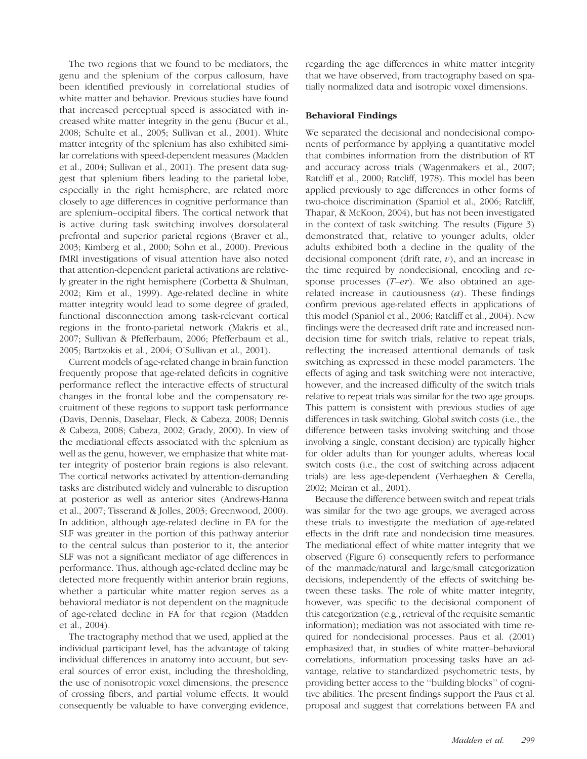The two regions that we found to be mediators, the genu and the splenium of the corpus callosum, have been identified previously in correlational studies of white matter and behavior. Previous studies have found that increased perceptual speed is associated with increased white matter integrity in the genu (Bucur et al., 2008; Schulte et al., 2005; Sullivan et al., 2001). White matter integrity of the splenium has also exhibited similar correlations with speed-dependent measures (Madden et al., 2004; Sullivan et al., 2001). The present data suggest that splenium fibers leading to the parietal lobe, especially in the right hemisphere, are related more closely to age differences in cognitive performance than are splenium–occipital fibers. The cortical network that is active during task switching involves dorsolateral prefrontal and superior parietal regions (Braver et al., 2003; Kimberg et al., 2000; Sohn et al., 2000). Previous fMRI investigations of visual attention have also noted that attention-dependent parietal activations are relatively greater in the right hemisphere (Corbetta & Shulman, 2002; Kim et al., 1999). Age-related decline in white matter integrity would lead to some degree of graded, functional disconnection among task-relevant cortical regions in the fronto-parietal network (Makris et al., 2007; Sullivan & Pfefferbaum, 2006; Pfefferbaum et al., 2005; Bartzokis et al., 2004; O'Sullivan et al., 2001).

Current models of age-related change in brain function frequently propose that age-related deficits in cognitive performance reflect the interactive effects of structural changes in the frontal lobe and the compensatory recruitment of these regions to support task performance (Davis, Dennis, Daselaar, Fleck, & Cabeza, 2008; Dennis & Cabeza, 2008; Cabeza, 2002; Grady, 2000). In view of the mediational effects associated with the splenium as well as the genu, however, we emphasize that white matter integrity of posterior brain regions is also relevant. The cortical networks activated by attention-demanding tasks are distributed widely and vulnerable to disruption at posterior as well as anterior sites (Andrews-Hanna et al., 2007; Tisserand & Jolles, 2003; Greenwood, 2000). In addition, although age-related decline in FA for the SLF was greater in the portion of this pathway anterior to the central sulcus than posterior to it, the anterior SLF was not a significant mediator of age differences in performance. Thus, although age-related decline may be detected more frequently within anterior brain regions, whether a particular white matter region serves as a behavioral mediator is not dependent on the magnitude of age-related decline in FA for that region (Madden et al., 2004).

The tractography method that we used, applied at the individual participant level, has the advantage of taking individual differences in anatomy into account, but several sources of error exist, including the thresholding, the use of nonisotropic voxel dimensions, the presence of crossing fibers, and partial volume effects. It would consequently be valuable to have converging evidence, regarding the age differences in white matter integrity that we have observed, from tractography based on spatially normalized data and isotropic voxel dimensions.

# Behavioral Findings

We separated the decisional and nondecisional components of performance by applying a quantitative model that combines information from the distribution of RT and accuracy across trials (Wagenmakers et al., 2007; Ratcliff et al., 2000; Ratcliff, 1978). This model has been applied previously to age differences in other forms of two-choice discrimination (Spaniol et al., 2006; Ratcliff, Thapar, & McKoon, 2004), but has not been investigated in the context of task switching. The results (Figure 3) demonstrated that, relative to younger adults, older adults exhibited both a decline in the quality of the decisional component (drift rate,  $v$ ), and an increase in the time required by nondecisional, encoding and response processes  $(T-er)$ . We also obtained an agerelated increase in cautiousness  $(a)$ . These findings confirm previous age-related effects in applications of this model (Spaniol et al., 2006; Ratcliff et al., 2004). New findings were the decreased drift rate and increased nondecision time for switch trials, relative to repeat trials, reflecting the increased attentional demands of task switching as expressed in these model parameters. The effects of aging and task switching were not interactive, however, and the increased difficulty of the switch trials relative to repeat trials was similar for the two age groups. This pattern is consistent with previous studies of age differences in task switching. Global switch costs (i.e., the difference between tasks involving switching and those involving a single, constant decision) are typically higher for older adults than for younger adults, whereas local switch costs (i.e., the cost of switching across adjacent trials) are less age-dependent (Verhaeghen & Cerella, 2002; Meiran et al., 2001).

Because the difference between switch and repeat trials was similar for the two age groups, we averaged across these trials to investigate the mediation of age-related effects in the drift rate and nondecision time measures. The mediational effect of white matter integrity that we observed (Figure 6) consequently refers to performance of the manmade/natural and large/small categorization decisions, independently of the effects of switching between these tasks. The role of white matter integrity, however, was specific to the decisional component of this categorization (e.g., retrieval of the requisite semantic information); mediation was not associated with time required for nondecisional processes. Paus et al. (2001) emphasized that, in studies of white matter–behavioral correlations, information processing tasks have an advantage, relative to standardized psychometric tests, by providing better access to the ''building blocks'' of cognitive abilities. The present findings support the Paus et al. proposal and suggest that correlations between FA and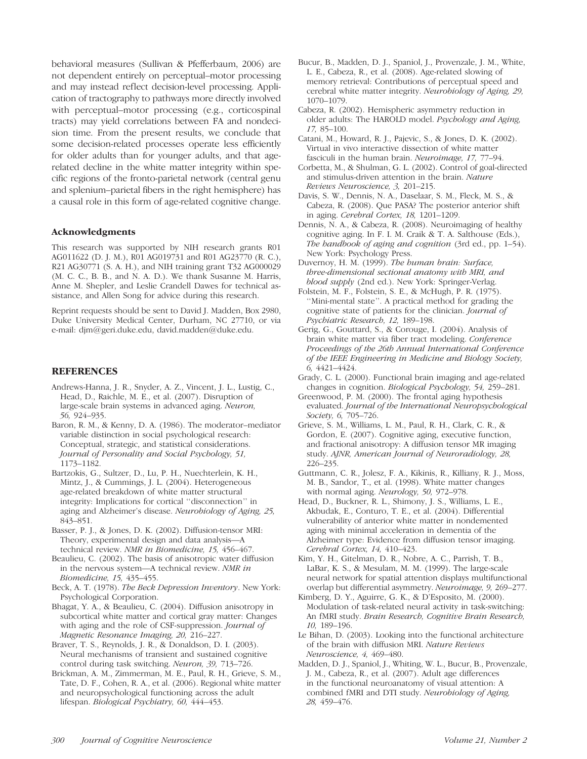behavioral measures (Sullivan & Pfefferbaum, 2006) are not dependent entirely on perceptual–motor processing and may instead reflect decision-level processing. Application of tractography to pathways more directly involved with perceptual–motor processing (e.g., corticospinal tracts) may yield correlations between FA and nondecision time. From the present results, we conclude that some decision-related processes operate less efficiently for older adults than for younger adults, and that agerelated decline in the white matter integrity within specific regions of the fronto-parietal network (central genu and splenium–parietal fibers in the right hemisphere) has a causal role in this form of age-related cognitive change.

#### Acknowledgments

This research was supported by NIH research grants R01 AG011622 (D. J. M.), R01 AG019731 and R01 AG23770 (R. C.), R21 AG30771 (S. A. H.), and NIH training grant T32 AG000029 (M. C. C., B. B., and N. A. D.). We thank Susanne M. Harris, Anne M. Shepler, and Leslie Crandell Dawes for technical assistance, and Allen Song for advice during this research.

Reprint requests should be sent to David J. Madden, Box 2980, Duke University Medical Center, Durham, NC 27710, or via e-mail: djm@geri.duke.edu, david.madden@duke.edu.

#### REFERENCES

- Andrews-Hanna, J. R., Snyder, A. Z., Vincent, J. L., Lustig, C., Head, D., Raichle, M. E., et al. (2007). Disruption of large-scale brain systems in advanced aging. Neuron, 56, 924–935.
- Baron, R. M., & Kenny, D. A. (1986). The moderator–mediator variable distinction in social psychological research: Conceptual, strategic, and statistical considerations. Journal of Personality and Social Psychology, 51, 1173–1182.
- Bartzokis, G., Sultzer, D., Lu, P. H., Nuechterlein, K. H., Mintz, J., & Cummings, J. L. (2004). Heterogeneous age-related breakdown of white matter structural integrity: Implications for cortical ''disconnection'' in aging and Alzheimer's disease. Neurobiology of Aging, 25, 843–851.
- Basser, P. J., & Jones, D. K. (2002). Diffusion-tensor MRI: Theory, experimental design and data analysis—A technical review. NMR in Biomedicine, 15, 456–467.

Beaulieu, C. (2002). The basis of anisotropic water diffusion in the nervous system—A technical review. NMR in Biomedicine, 15, 435–455.

- Beck, A. T. (1978). The Beck Depression Inventory. New York: Psychological Corporation.
- Bhagat, Y. A., & Beaulieu, C. (2004). Diffusion anisotropy in subcortical white matter and cortical gray matter: Changes with aging and the role of CSF-suppression. Journal of Magnetic Resonance Imaging, 20, 216–227.

Braver, T. S., Reynolds, J. R., & Donaldson, D. I. (2003). Neural mechanisms of transient and sustained cognitive control during task switching. Neuron, 39, 713–726.

Brickman, A. M., Zimmerman, M. E., Paul, R. H., Grieve, S. M., Tate, D. F., Cohen, R. A., et al. (2006). Regional white matter and neuropsychological functioning across the adult lifespan. Biological Psychiatry, 60, 444–453.

- Bucur, B., Madden, D. J., Spaniol, J., Provenzale, J. M., White, L. E., Cabeza, R., et al. (2008). Age-related slowing of memory retrieval: Contributions of perceptual speed and cerebral white matter integrity. Neurobiology of Aging, 29, 1070–1079.
- Cabeza, R. (2002). Hemispheric asymmetry reduction in older adults: The HAROLD model. Psychology and Aging, 17, 85–100.
- Catani, M., Howard, R. J., Pajevic, S., & Jones, D. K. (2002). Virtual in vivo interactive dissection of white matter fasciculi in the human brain. Neuroimage, 17, 77-94.
- Corbetta, M., & Shulman, G. L. (2002). Control of goal-directed and stimulus-driven attention in the brain. Nature Reviews Neuroscience, 3, 201–215.
- Davis, S. W., Dennis, N. A., Daselaar, S. M., Fleck, M. S., & Cabeza, R. (2008). Que PASA? The posterior anterior shift in aging. Cerebral Cortex, 18, 1201–1209.
- Dennis, N. A., & Cabeza, R. (2008). Neuroimaging of healthy cognitive aging. In F. I. M. Craik & T. A. Salthouse (Eds.), The handbook of aging and cognition (3rd ed., pp. 1-54). New York: Psychology Press.
- Duvernoy, H. M. (1999). The human brain: Surface, three-dimensional sectional anatomy with MRI, and blood supply (2nd ed.). New York: Springer-Verlag.
- Folstein, M. F., Folstein, S. E., & McHugh, P. R. (1975). ''Mini-mental state''. A practical method for grading the cognitive state of patients for the clinician. Journal of Psychiatric Research, 12, 189–198.
- Gerig, G., Gouttard, S., & Corouge, I. (2004). Analysis of brain white matter via fiber tract modeling. Conference Proceedings of the 26th Annual International Conference of the IEEE Engineering in Medicine and Biology Society, 6, 4421–4424.
- Grady, C. L. (2000). Functional brain imaging and age-related changes in cognition. Biological Psychology, 54, 259–281.
- Greenwood, P. M. (2000). The frontal aging hypothesis evaluated. Journal of the International Neuropsychological Society, 6, 705–726.
- Grieve, S. M., Williams, L. M., Paul, R. H., Clark, C. R., & Gordon, E. (2007). Cognitive aging, executive function, and fractional anisotropy: A diffusion tensor MR imaging study. AJNR, American Journal of Neuroradiology, 28, 226–235.
- Guttmann, C. R., Jolesz, F. A., Kikinis, R., Killiany, R. J., Moss, M. B., Sandor, T., et al. (1998). White matter changes with normal aging. Neurology, 50, 972–978.
- Head, D., Buckner, R. L., Shimony, J. S., Williams, L. E., Akbudak, E., Conturo, T. E., et al. (2004). Differential vulnerability of anterior white matter in nondemented aging with minimal acceleration in dementia of the Alzheimer type: Evidence from diffusion tensor imaging. Cerebral Cortex, 14, 410–423.
- Kim, Y. H., Gitelman, D. R., Nobre, A. C., Parrish, T. B., LaBar, K. S., & Mesulam, M. M. (1999). The large-scale neural network for spatial attention displays multifunctional overlap but differential asymmetry. Neuroimage, 9, 269–277.
- Kimberg, D. Y., Aguirre, G. K., & D'Esposito, M. (2000). Modulation of task-related neural activity in task-switching: An fMRI study. Brain Research, Cognitive Brain Research, 10, 189–196.
- Le Bihan, D. (2003). Looking into the functional architecture of the brain with diffusion MRI. Nature Reviews Neuroscience, 4, 469–480.
- Madden, D. J., Spaniol, J., Whiting, W. L., Bucur, B., Provenzale, J. M., Cabeza, R., et al. (2007). Adult age differences in the functional neuroanatomy of visual attention: A combined fMRI and DTI study. Neurobiology of Aging, 28, 459–476.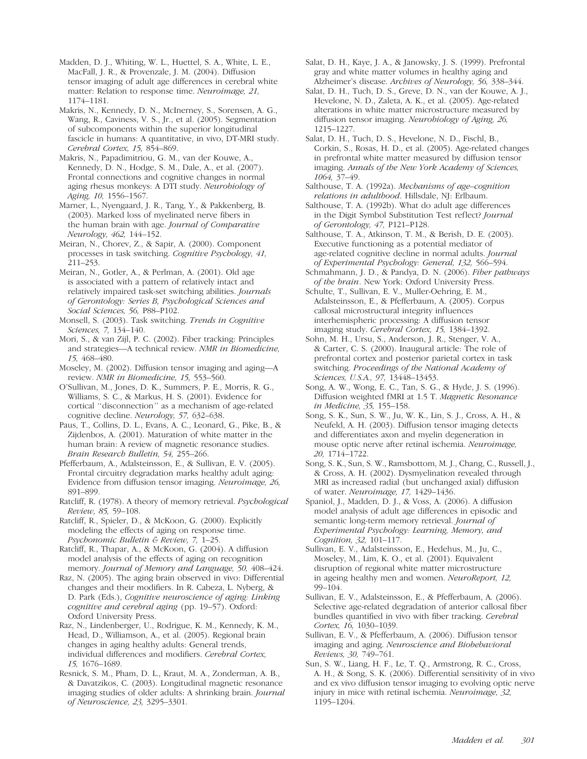Madden, D. J., Whiting, W. L., Huettel, S. A., White, L. E., MacFall, J. R., & Provenzale, J. M. (2004). Diffusion tensor imaging of adult age differences in cerebral white matter: Relation to response time. Neuroimage, 21, 1174–1181.

Makris, N., Kennedy, D. N., McInerney, S., Sorensen, A. G., Wang, R., Caviness, V. S., Jr., et al. (2005). Segmentation of subcomponents within the superior longitudinal fascicle in humans: A quantitative, in vivo, DT-MRI study. Cerebral Cortex, 15, 854–869.

Makris, N., Papadimitriou, G. M., van der Kouwe, A., Kennedy, D. N., Hodge, S. M., Dale, A., et al. (2007). Frontal connections and cognitive changes in normal aging rhesus monkeys: A DTI study. Neurobiology of Aging, 10, 1556–1567.

Marner, L., Nyengaard, J. R., Tang, Y., & Pakkenberg, B. (2003). Marked loss of myelinated nerve fibers in the human brain with age. Journal of Comparative Neurology, 462, 144–152.

Meiran, N., Chorev, Z., & Sapir, A. (2000). Component processes in task switching. Cognitive Psychology, 41, 211–253.

Meiran, N., Gotler, A., & Perlman, A. (2001). Old age is associated with a pattern of relatively intact and relatively impaired task-set switching abilities. Journals of Gerontology: Series B, Psychological Sciences and Social Sciences, 56, P88–P102.

Monsell, S. (2003). Task switching. Trends in Cognitive Sciences, 7, 134–140.

Mori, S., & van Zijl, P. C. (2002). Fiber tracking: Principles and strategies—A technical review. NMR in Biomedicine, 15, 468–480.

Moseley, M. (2002). Diffusion tensor imaging and aging—A review. NMR in Biomedicine, 15, 553–560.

O'Sullivan, M., Jones, D. K., Summers, P. E., Morris, R. G., Williams, S. C., & Markus, H. S. (2001). Evidence for cortical ''disconnection'' as a mechanism of age-related cognitive decline. Neurology, 57, 632–638.

Paus, T., Collins, D. L., Evans, A. C., Leonard, G., Pike, B., & Zijdenbos, A. (2001). Maturation of white matter in the human brain: A review of magnetic resonance studies. Brain Research Bulletin, 54, 255–266.

Pfefferbaum, A., Adalsteinsson, E., & Sullivan, E. V. (2005). Frontal circuitry degradation marks healthy adult aging: Evidence from diffusion tensor imaging. Neuroimage, 26, 891–899.

Ratcliff, R. (1978). A theory of memory retrieval. Psychological Review, 85, 59–108.

Ratcliff, R., Spieler, D., & McKoon, G. (2000). Explicitly modeling the effects of aging on response time. Psychonomic Bulletin & Review, 7, 1–25.

Ratcliff, R., Thapar, A., & McKoon, G. (2004). A diffusion model analysis of the effects of aging on recognition memory. Journal of Memory and Language, 50, 408–424.

Raz, N. (2005). The aging brain observed in vivo: Differential changes and their modifiers. In R. Cabeza, L. Nyberg, & D. Park (Eds.), Cognitive neuroscience of aging: Linking cognitive and cerebral aging (pp. 19–57). Oxford: Oxford University Press.

Raz, N., Lindenberger, U., Rodrigue, K. M., Kennedy, K. M., Head, D., Williamson, A., et al. (2005). Regional brain changes in aging healthy adults: General trends, individual differences and modifiers. Cerebral Cortex, 15, 1676–1689.

Resnick, S. M., Pham, D. L., Kraut, M. A., Zonderman, A. B., & Davatzikos, C. (2003). Longitudinal magnetic resonance imaging studies of older adults: A shrinking brain. Journal of Neuroscience, 23, 3295–3301.

Salat, D. H., Kaye, J. A., & Janowsky, J. S. (1999). Prefrontal gray and white matter volumes in healthy aging and Alzheimer's disease. Archives of Neurology, 56, 338–344.

Salat, D. H., Tuch, D. S., Greve, D. N., van der Kouwe, A. J., Hevelone, N. D., Zaleta, A. K., et al. (2005). Age-related alterations in white matter microstructure measured by diffusion tensor imaging. Neurobiology of Aging, 26, 1215–1227.

Salat, D. H., Tuch, D. S., Hevelone, N. D., Fischl, B., Corkin, S., Rosas, H. D., et al. (2005). Age-related changes in prefrontal white matter measured by diffusion tensor imaging. Annals of the New York Academy of Sciences, 1064, 37–49.

Salthouse, T. A. (1992a). Mechanisms of age–cognition relations in adulthood. Hillsdale, NJ: Erlbaum.

Salthouse, T. A. (1992b). What do adult age differences in the Digit Symbol Substitution Test reflect? Journal of Gerontology, 47, P121–P128.

Salthouse, T. A., Atkinson, T. M., & Berish, D. E. (2003). Executive functioning as a potential mediator of age-related cognitive decline in normal adults. Journal of Experimental Psychology: General, 132, 566–594.

Schmahmann, J. D., & Pandya, D. N. (2006). Fiber pathways of the brain. New York: Oxford University Press.

Schulte, T., Sullivan, E. V., Muller-Oehring, E. M., Adalsteinsson, E., & Pfefferbaum, A. (2005). Corpus callosal microstructural integrity influences interhemispheric processing: A diffusion tensor imaging study. Cerebral Cortex, 15, 1384–1392.

Sohn, M. H., Ursu, S., Anderson, J. R., Stenger, V. A., & Carter, C. S. (2000). Inaugural article: The role of prefrontal cortex and posterior parietal cortex in task switching. Proceedings of the National Academy of Sciences, U.S.A., 97, 13448–13453.

Song, A. W., Wong, E. C., Tan, S. G., & Hyde, J. S. (1996). Diffusion weighted fMRI at 1.5 T. Magnetic Resonance in Medicine, 35, 155–158.

Song, S. K., Sun, S. W., Ju, W. K., Lin, S. J., Cross, A. H., & Neufeld, A. H. (2003). Diffusion tensor imaging detects and differentiates axon and myelin degeneration in mouse optic nerve after retinal ischemia. Neuroimage, 20, 1714–1722.

Song, S. K., Sun, S. W., Ramsbottom, M. J., Chang, C., Russell, J., & Cross, A. H. (2002). Dysmyelination revealed through MRI as increased radial (but unchanged axial) diffusion of water. Neuroimage, 17, 1429–1436.

Spaniol, J., Madden, D. J., & Voss, A. (2006). A diffusion model analysis of adult age differences in episodic and semantic long-term memory retrieval. Journal of Experimental Psychology: Learning, Memory, and Cognition, 32, 101–117.

Sullivan, E. V., Adalsteinsson, E., Hedehus, M., Ju, C., Moseley, M., Lim, K. O., et al. (2001). Equivalent disruption of regional white matter microstructure in ageing healthy men and women. NeuroReport, 12, 99–104.

Sullivan, E. V., Adalsteinsson, E., & Pfefferbaum, A. (2006). Selective age-related degradation of anterior callosal fiber bundles quantified in vivo with fiber tracking. Cerebral Cortex, 16, 1030–1039.

Sullivan, E. V., & Pfefferbaum, A. (2006). Diffusion tensor imaging and aging. Neuroscience and Biobehavioral Reviews, 30, 749–761.

Sun, S. W., Liang, H. F., Le, T. Q., Armstrong, R. C., Cross, A. H., & Song, S. K. (2006). Differential sensitivity of in vivo and ex vivo diffusion tensor imaging to evolving optic nerve injury in mice with retinal ischemia. Neuroimage, 32, 1195–1204.